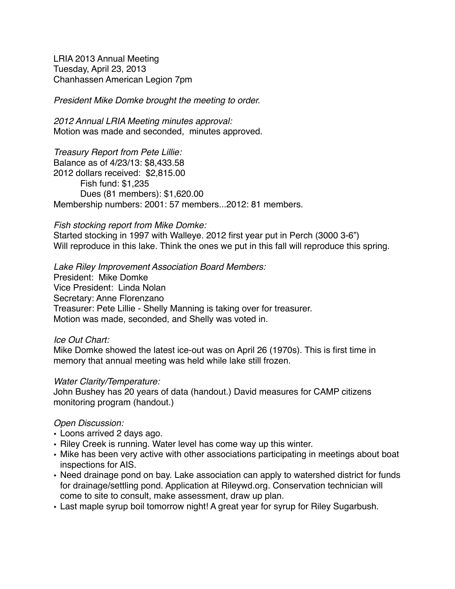LRIA 2013 Annual Meeting Tuesday, April 23, 2013 Chanhassen American Legion 7pm

*President Mike Domke brought the meeting to order.*

*2012 Annual LRIA Meeting minutes approval:*  Motion was made and seconded, minutes approved.

*Treasury Report from Pete Lillie:* Balance as of 4/23/13: \$8,433.58 2012 dollars received: \$2,815.00 Fish fund: \$1,235 Dues (81 members): \$1,620.00 Membership numbers: 2001: 57 members...2012: 81 members.

#### *Fish stocking report from Mike Domke:*

Started stocking in 1997 with Walleye. 2012 first year put in Perch (3000 3-6") Will reproduce in this lake. Think the ones we put in this fall will reproduce this spring.

*Lake Riley Improvement Association Board Members:* President: Mike Domke Vice President: Linda Nolan Secretary: Anne Florenzano Treasurer: Pete Lillie - Shelly Manning is taking over for treasurer. Motion was made, seconded, and Shelly was voted in.

### *Ice Out Chart:*

Mike Domke showed the latest ice-out was on April 26 (1970s). This is first time in memory that annual meeting was held while lake still frozen.

#### *Water Clarity/Temperature:*

John Bushey has 20 years of data (handout.) David measures for CAMP citizens monitoring program (handout.)

### *Open Discussion:*

- Loons arrived 2 days ago.
- Riley Creek is running. Water level has come way up this winter.
- Mike has been very active with other associations participating in meetings about boat inspections for AIS.
- Need drainage pond on bay. Lake association can apply to watershed district for funds for drainage/settling pond. Application at Rileywd.org. Conservation technician will come to site to consult, make assessment, draw up plan.
- Last maple syrup boil tomorrow night! A great year for syrup for Riley Sugarbush.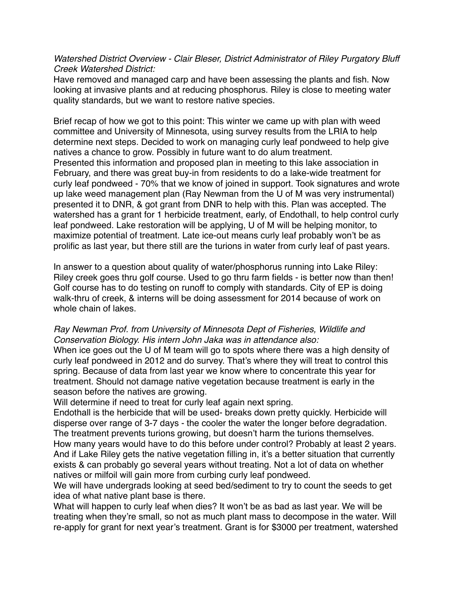### *Watershed District Overview - Clair Bleser, District Administrator of Riley Purgatory Bluff Creek Watershed District:*

Have removed and managed carp and have been assessing the plants and fish. Now looking at invasive plants and at reducing phosphorus. Riley is close to meeting water quality standards, but we want to restore native species.

Brief recap of how we got to this point: This winter we came up with plan with weed committee and University of Minnesota, using survey results from the LRIA to help determine next steps. Decided to work on managing curly leaf pondweed to help give natives a chance to grow. Possibly in future want to do alum treatment. Presented this information and proposed plan in meeting to this lake association in February, and there was great buy-in from residents to do a lake-wide treatment for curly leaf pondweed - 70% that we know of joined in support. Took signatures and wrote up lake weed management plan (Ray Newman from the U of M was very instrumental) presented it to DNR, & got grant from DNR to help with this. Plan was accepted. The watershed has a grant for 1 herbicide treatment, early, of Endothall, to help control curly leaf pondweed. Lake restoration will be applying, U of M will be helping monitor, to maximize potential of treatment. Late ice-out means curly leaf probably won't be as prolific as last year, but there still are the turions in water from curly leaf of past years.

In answer to a question about quality of water/phosphorus running into Lake Riley: Riley creek goes thru golf course. Used to go thru farm fields - is better now than then! Golf course has to do testing on runoff to comply with standards. City of EP is doing walk-thru of creek, & interns will be doing assessment for 2014 because of work on whole chain of lakes.

## *Ray Newman Prof. from University of Minnesota Dept of Fisheries, Wildlife and Conservation Biology. His intern John Jaka was in attendance also:*

When ice goes out the U of M team will go to spots where there was a high density of curly leaf pondweed in 2012 and do survey. That's where they will treat to control this spring. Because of data from last year we know where to concentrate this year for treatment. Should not damage native vegetation because treatment is early in the season before the natives are growing.

Will determine if need to treat for curly leaf again next spring.

Endothall is the herbicide that will be used- breaks down pretty quickly. Herbicide will disperse over range of 3-7 days - the cooler the water the longer before degradation. The treatment prevents turions growing, but doesn't harm the turions themselves. How many years would have to do this before under control? Probably at least 2 years. And if Lake Riley gets the native vegetation filling in, it's a better situation that currently exists & can probably go several years without treating. Not a lot of data on whether natives or milfoil will gain more from curbing curly leaf pondweed.

We will have undergrads looking at seed bed/sediment to try to count the seeds to get idea of what native plant base is there.

What will happen to curly leaf when dies? It won't be as bad as last year. We will be treating when they're small, so not as much plant mass to decompose in the water. Will re-apply for grant for next year's treatment. Grant is for \$3000 per treatment, watershed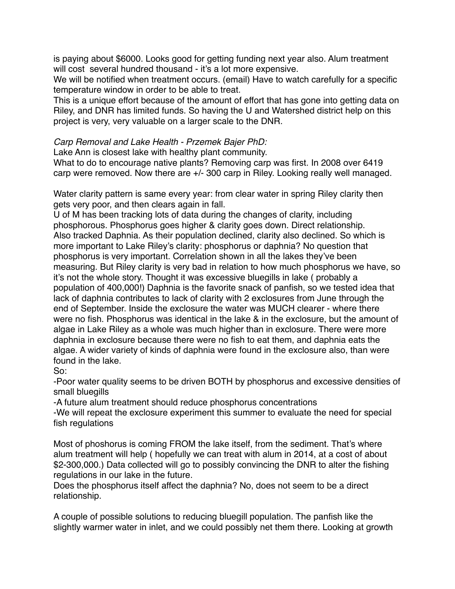is paying about \$6000. Looks good for getting funding next year also. Alum treatment will cost several hundred thousand - it's a lot more expensive.

We will be notified when treatment occurs. (email) Have to watch carefully for a specific temperature window in order to be able to treat.

This is a unique effort because of the amount of effort that has gone into getting data on Riley, and DNR has limited funds. So having the U and Watershed district help on this project is very, very valuable on a larger scale to the DNR.

# *Carp Removal and Lake Health - Przemek Bajer PhD:*

Lake Ann is closest lake with healthy plant community.

What to do to encourage native plants? Removing carp was first. In 2008 over 6419 carp were removed. Now there are +/- 300 carp in Riley. Looking really well managed.

Water clarity pattern is same every year: from clear water in spring Riley clarity then gets very poor, and then clears again in fall.

U of M has been tracking lots of data during the changes of clarity, including phosphorous. Phosphorus goes higher & clarity goes down. Direct relationship. Also tracked Daphnia. As their population declined, clarity also declined. So which is more important to Lake Riley's clarity: phosphorus or daphnia? No question that phosphorus is very important. Correlation shown in all the lakes they've been measuring. But Riley clarity is very bad in relation to how much phosphorus we have, so it's not the whole story. Thought it was excessive bluegills in lake ( probably a population of 400,000!) Daphnia is the favorite snack of panfish, so we tested idea that lack of daphnia contributes to lack of clarity with 2 exclosures from June through the end of September. Inside the exclosure the water was MUCH clearer - where there were no fish. Phosphorus was identical in the lake & in the exclosure, but the amount of algae in Lake Riley as a whole was much higher than in exclosure. There were more daphnia in exclosure because there were no fish to eat them, and daphnia eats the algae. A wider variety of kinds of daphnia were found in the exclosure also, than were found in the lake.

So:

-Poor water quality seems to be driven BOTH by phosphorus and excessive densities of small bluegills

-A future alum treatment should reduce phosphorus concentrations

-We will repeat the exclosure experiment this summer to evaluate the need for special fish regulations

Most of phoshorus is coming FROM the lake itself, from the sediment. That's where alum treatment will help ( hopefully we can treat with alum in 2014, at a cost of about \$2-300,000.) Data collected will go to possibly convincing the DNR to alter the fishing regulations in our lake in the future.

Does the phosphorus itself affect the daphnia? No, does not seem to be a direct relationship.

A couple of possible solutions to reducing bluegill population. The panfish like the slightly warmer water in inlet, and we could possibly net them there. Looking at growth